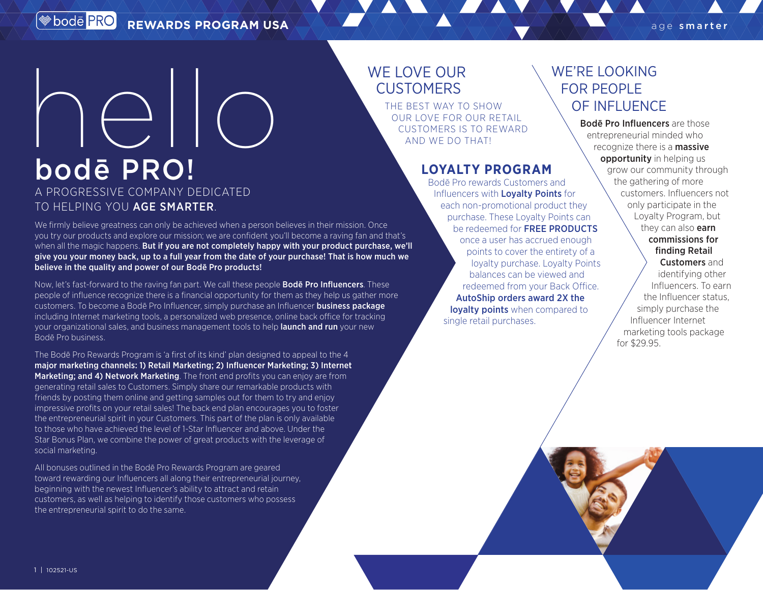# bodē PRO! hello

## A PROGRESSIVE COMPANY DEDICATED TO HELPING YOU AGE SMARTER.

We firmly believe greatness can only be achieved when a person believes in their mission. Once you try our products and explore our mission; we are confident you'll become a raving fan and that's when all the magic happens. But if you are not completely happy with your product purchase, we'll give you your money back, up to a full year from the date of your purchase! That is how much we believe in the quality and power of our Bodē Pro products!

Now, let's fast-forward to the raving fan part. We call these people **Bode Pro Influencers**. These people of influence recognize there is a financial opportunity for them as they help us gather more customers. To become a Bodē Pro Influencer, simply purchase an Influencer business package including Internet marketing tools, a personalized web presence, online back office for tracking your organizational sales, and business management tools to help launch and run your new Bodē Pro business.

The Bodē Pro Rewards Program is 'a first of its kind' plan designed to appeal to the 4 major marketing channels: 1) Retail Marketing; 2) Influencer Marketing; 3) Internet Marketing; and 4) Network Marketing. The front end profits you can enjoy are from generating retail sales to Customers. Simply share our remarkable products with friends by posting them online and getting samples out for them to try and enjoy impressive profits on your retail sales! The back end plan encourages you to foster the entrepreneurial spirit in your Customers. This part of the plan is only available to those who have achieved the level of 1-Star Influencer and above. Under the Star Bonus Plan, we combine the power of great products with the leverage of social marketing.

All bonuses outlined in the Bodē Pro Rewards Program are geared toward rewarding our Influencers all along their entrepreneurial journey, beginning with the newest Influencer's ability to attract and retain customers, as well as helping to identify those customers who possess the entrepreneurial spirit to do the same.

# WE LOVE OUR **CUSTOMERS**

THE BEST WAY TO SHOW OUR LOVE FOR OUR RETAIL CUSTOMERS IS TO REWARD AND WE DO THAT!

### **LOYALTY PROGRAM**

Bodē Pro rewards Customers and Influencers with **Loyalty Points** for each non-promotional product they purchase. These Loyalty Points can be redeemed for FREE PRODUCTS once a user has accrued enough points to cover the entirety of a loyalty purchase. Loyalty Points balances can be viewed and redeemed from your Back Office. AutoShip orders award 2X the lovalty points when compared to single retail purchases.

# WE'RE LOOKING FOR PEOPLE OF INFLUENCE

Bodē Pro Influencers are those entrepreneurial minded who recognize there is a **massive** opportunity in helping us grow our community through the gathering of more customers. Influencers not only participate in the Loyalty Program, but they can also **earn** commissions for finding Retail

Customers and identifying other Influencers. To earn the Influencer status, simply purchase the Influencer Internet marketing tools package for \$29.95.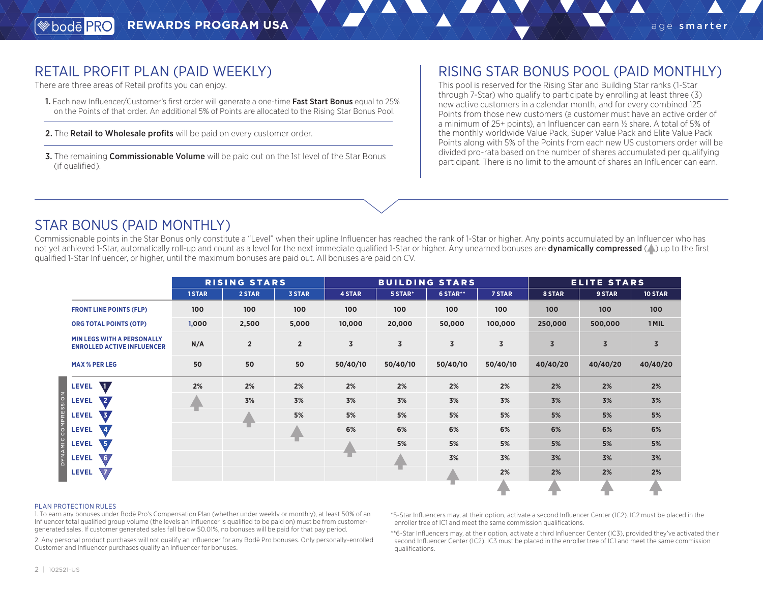## RETAIL PROFIT PLAN (PAID WEEKLY)

There are three areas of Retail profits you can enjoy.

- 1. Each new Influencer/Customer's first order will generate a one-time Fast Start Bonus equal to 25% on the Points of that order. An additional 5% of Points are allocated to the Rising Star Bonus Pool.
- 2. The Retail to Wholesale profits will be paid on every customer order.
- **3.** The remaining **Commissionable Volume** will be paid out on the 1st level of the Star Bonus (if qualified).

## RISING STAR BONUS POOL (PAID MONTHLY)

This pool is reserved for the Rising Star and Building Star ranks (1-Star through 7-Star) who qualify to participate by enrolling at least three (3) new active customers in a calendar month, and for every combined 125 Points from those new customers (a customer must have an active order of a minimum of 25+ points), an Influencer can earn ½ share. A total of 5% of the monthly worldwide Value Pack, Super Value Pack and Elite Value Pack Points along with 5% of the Points from each new US customers order will be divided pro-rata based on the number of shares accumulated per qualifying participant. There is no limit to the amount of shares an Influencer can earn.

## STAR BONUS (PAID MONTHLY)

Commissionable points in the Star Bonus only constitute a "Level" when their upline Influencer has reached the rank of 1-Star or higher. Any points accumulated by an Influencer who has not vet achieved 1-Star, automatically roll-up and count as a level for the next immediate qualified 1-Star or higher. Any unearned bonuses are **dynamically compressed** (A) up to the first qualified 1-Star Influencer, or higher, until the maximum bonuses are paid out. All bonuses are paid on CV.

|                                                                        | <b>RISING STARS</b> |                |                | <b>BUILDING STARS</b>   |                |                         |          | <b>ELITE STARS</b> |                |                |
|------------------------------------------------------------------------|---------------------|----------------|----------------|-------------------------|----------------|-------------------------|----------|--------------------|----------------|----------------|
|                                                                        | 1STAR               | 2 STAR         | <b>3 STAR</b>  | 4 STAR                  | 5 STAR*        | 6 STAR**                | 7 STAR   | 8 STAR             | 9 STAR         | 10 STAR        |
| <b>FRONT LINE POINTS (FLP)</b>                                         | 100                 | 100            | 100            | 100                     | 100            | 100                     | 100      | 100                | 100            | 100            |
| <b>ORG TOTAL POINTS (OTP)</b>                                          | 1,000               | 2,500          | 5,000          | 10,000                  | 20,000         | 50,000                  | 100,000  | 250,000            | 500,000        | 1 MIL          |
| <b>MIN LEGS WITH A PERSONALLY</b><br><b>ENROLLED ACTIVE INFLUENCER</b> | N/A                 | $\overline{2}$ | $\overline{2}$ | $\overline{\mathbf{3}}$ | $\overline{3}$ | $\overline{\mathbf{3}}$ | 3        | $\overline{3}$     | $\overline{3}$ | $\overline{3}$ |
| <b>MAX % PER LEG</b>                                                   | 50                  | 50             | 50             | 50/40/10                | 50/40/10       | 50/40/10                | 50/40/10 | 40/40/20           | 40/40/20       | 40/40/20       |
| $\P$ ,<br><b>LEVEL</b>                                                 | 2%                  | 2%             | 2%             | 2%                      | 2%             | 2%                      | 2%       | 2%                 | 2%             | 2%             |
| \2,<br><b>LEVEL</b>                                                    |                     | 3%             | 3%             | 3%                      | 3%             | 3%                      | 3%       | 3%                 | 3%             | 3%             |
| $\sqrt{3}$<br><b>LEVEL</b>                                             |                     |                | 5%             | 5%                      | 5%             | 5%                      | 5%       | 5%                 | 5%             | 5%             |
| $\mathbf{A}$<br><b>LEVEL</b>                                           |                     |                |                | 6%                      | 6%             | 6%                      | 6%       | 6%                 | 6%             | 6%             |
| <b>\5</b><br><b>LEVEL</b>                                              |                     |                | т              |                         | 5%             | 5%                      | 5%       | 5%                 | 5%             | 5%             |
| 6/<br><b>LEVEL</b>                                                     |                     |                |                |                         |                | 3%                      | 3%       | 3%                 | 3%             | 3%             |
| $\sqrt{7}$<br><b>LEVEL</b>                                             |                     |                |                |                         |                |                         | 2%       | 2%                 | 2%             | 2%             |
|                                                                        |                     |                |                |                         |                |                         |          |                    |                |                |

#### PLAN PROTECTION RULES

1. To earn any bonuses under Bodē Pro's Compensation Plan (whether under weekly or monthly), at least 50% of an Influencer total qualified group volume (the levels an Influencer is qualified to be paid on) must be from customergenerated sales. If customer generated sales fall below 50.01%, no bonuses will be paid for that pay period.

2. Any personal product purchases will not qualify an Influencer for any Bodē Pro bonuses. Only personally-enrolled Customer and Influencer purchases qualify an Influencer for bonuses.

\*5-Star Influencers may, at their option, activate a second Influencer Center (IC2). IC2 must be placed in the enroller tree of IC1 and meet the same commission qualifications.

\*\*6-Star Influencers may, at their option, activate a third Influencer Center (IC3), provided they've activated their second Influencer Center (IC2). IC3 must be placed in the enroller tree of IC1 and meet the same commission qualifications.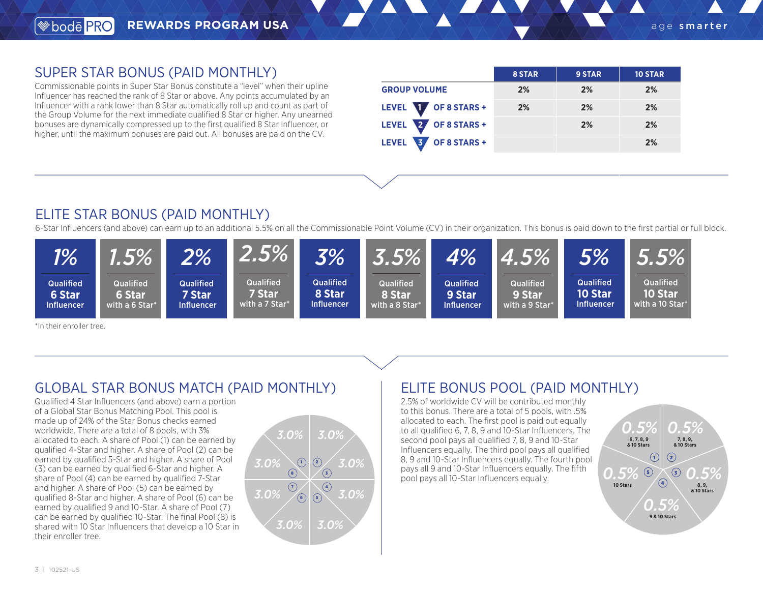## SUPER STAR BONUS (PAID MONTHLY)

Commissionable points in Super Star Bonus constitute a "level" when their upline Influencer has reached the rank of 8 Star or above. Any points accumulated by an Influencer with a rank lower than 8 Star automatically roll up and count as part of the Group Volume for the next immediate qualified 8 Star or higher. Any unearned bonuses are dynamically compressed up to the first qualified 8 Star Influencer, or higher, until the maximum bonuses are paid out. All bonuses are paid on the CV.

|                                       | 8 STAR | 9 STAR | <b>10 STAR</b> |
|---------------------------------------|--------|--------|----------------|
| <b>GROUP VOLUME</b>                   | 2%     | 2%     | 2%             |
| LEVEL <b>W</b> OF 8 STARS +           | 2%     | 2%     | 2%             |
| LEVEL 2<br>OF 8 STARS +               |        | 2%     | 2%             |
| $'$ OF 8 STARS +<br>3<br><b>LEVEL</b> |        |        | 2%             |

## ELITE STAR BONUS (PAID MONTHLY)

6-Star Influencers (and above) can earn up to an additional 5.5% on all the Commissionable Point Volume (CV) in their organization. This bonus is paid down to the first partial or full block.



\*In their enroller tree.

## GLOBAL STAR BONUS MATCH (PAID MONTHLY)

Qualified 4 Star Influencers (and above) earn a portion of a Global Star Bonus Matching Pool. This pool is made up of 24% of the Star Bonus checks earned worldwide. There are a total of 8 pools, with 3% allocated to each. A share of Pool (1) can be earned by qualified 4-Star and higher. A share of Pool (2) can be earned by qualified 5-Star and higher. A share of Pool (3) can be earned by qualified 6-Star and higher. A share of Pool (4) can be earned by qualified 7-Star and higher. A share of Pool (5) can be earned by qualified 8-Star and higher. A share of Pool (6) can be earned by qualified 9 and 10-Star. A share of Pool (7) can be earned by qualified 10-Star. The final Pool (8) is shared with 10 Star Influencers that develop a 10 Star in their enroller tree.



# ELITE BONUS POOL (PAID MONTHLY)

2.5% of worldwide CV will be contributed monthly to this bonus. There are a total of 5 pools, with .5% allocated to each. The first pool is paid out equally to all qualified 6, 7, 8, 9 and 10-Star Influencers. The second pool pays all qualified 7, 8, 9 and 10-Star Influencers equally. The third pool pays all qualified 8, 9 and 10-Star Influencers equally. The fourth pool pays all 9 and 10-Star Influencers equally. The fifth pool pays all 10-Star Influencers equally.

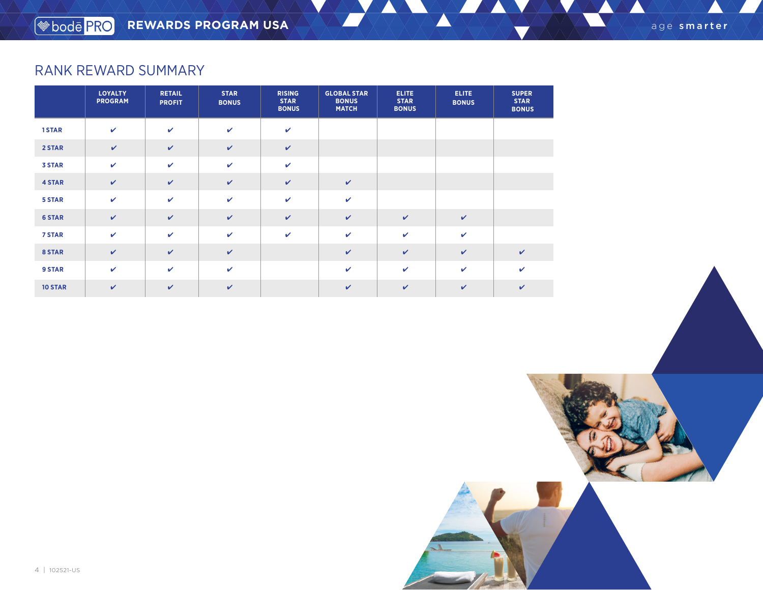# RANK REWARD SUMMARY

|                | <b>LOYALTY</b><br><b>PROGRAM</b> | <b>RETAIL</b><br><b>PROFIT</b> | <b>STAR</b><br><b>BONUS</b> | <b>RISING</b><br><b>STAR</b><br><b>BONUS</b> | <b>GLOBAL STAR</b><br><b>BONUS</b><br><b>MATCH</b> | <b>ELITE</b><br><b>STAR</b><br><b>BONUS</b> | <b>ELITE</b><br><b>BONUS</b> | <b>SUPER</b><br><b>STAR</b><br><b>BONUS</b> |
|----------------|----------------------------------|--------------------------------|-----------------------------|----------------------------------------------|----------------------------------------------------|---------------------------------------------|------------------------------|---------------------------------------------|
| 1STAR          | $\mathbf{v}$                     | $\mathbf v$                    | $\checkmark$                | $\checkmark$                                 |                                                    |                                             |                              |                                             |
| 2 STAR         | $\mathbf{v}$                     | $\checkmark$                   | $\checkmark$                | $\checkmark$                                 |                                                    |                                             |                              |                                             |
| <b>3 STAR</b>  | $\checkmark$                     | $\checkmark$                   | $\checkmark$                | $\checkmark$                                 |                                                    |                                             |                              |                                             |
| <b>4 STAR</b>  | $\checkmark$                     | $\checkmark$                   | $\checkmark$                | $\checkmark$                                 | $\checkmark$                                       |                                             |                              |                                             |
| 5 STAR         | $\mathbf{v}$                     | $\mathbf{v}$                   | $\checkmark$                | $\mathbf v$                                  | $\mathbf{v}$                                       |                                             |                              |                                             |
| <b>6 STAR</b>  | $\checkmark$                     | $\checkmark$                   | $\checkmark$                | $\checkmark$                                 | $\checkmark$                                       | $\checkmark$                                | $\checkmark$                 |                                             |
| 7 STAR         | $\checkmark$                     | $\mathbf{v}$                   | $\checkmark$                | $\mathbf{v}$                                 | $\mathbf{v}$                                       | $\mathbf{v}$                                | $\checkmark$                 |                                             |
| 8 STAR         | $\checkmark$                     | $\checkmark$                   | $\checkmark$                |                                              | $\mathbf{v}$                                       | $\checkmark$                                | $\checkmark$                 | $\checkmark$                                |
| 9 STAR         | $\mathbf{v}$                     | $\mathbf{v}$                   | $\checkmark$                |                                              | $\mathbf v$                                        | $\mathbf{v}$                                | $\checkmark$                 | V                                           |
| <b>10 STAR</b> | $\checkmark$                     | $\checkmark$                   | $\checkmark$                |                                              | $\checkmark$                                       | $\mathbf{v}$                                | $\checkmark$                 | V                                           |